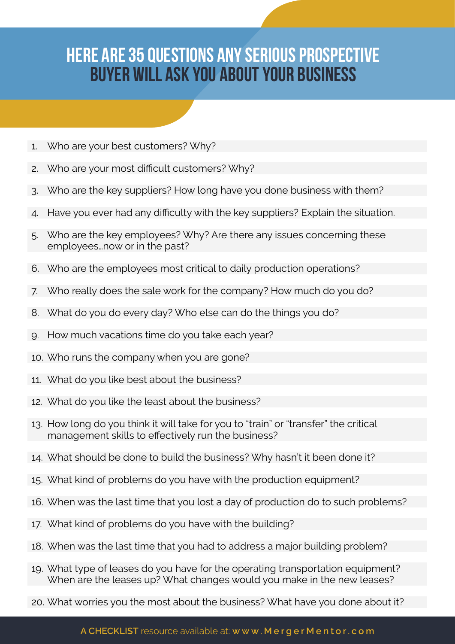## Here Are 35 Questions Any Serious Prospective Buyer Will Ask You About Your Business

- 1. Who are your best customers? Why?
- 2. Who are your most difficult customers? Why?
- 3. Who are the key suppliers? How long have you done business with them?
- 4. Have you ever had any difficulty with the key suppliers? Explain the situation.
- 5. Who are the key employees? Why? Are there any issues concerning these employees…now or in the past?
- 6. Who are the employees most critical to daily production operations?
- 7. Who really does the sale work for the company? How much do you do?
- 8. What do you do every day? Who else can do the things you do?
- 9. How much vacations time do you take each year?
- 10. Who runs the company when you are gone?
- 11. What do you like best about the business?
- 12. What do you like the least about the business?
- 13. How long do you think it will take for you to "train" or "transfer" the critical management skills to effectively run the business?
- 14. What should be done to build the business? Why hasn't it been done it?
- 15. What kind of problems do you have with the production equipment?
- 16. When was the last time that you lost a day of production do to such problems?
- 17. What kind of problems do you have with the building?
- 18. When was the last time that you had to address a major building problem?
- 19. What type of leases do you have for the operating transportation equipment? When are the leases up? What changes would you make in the new leases?
- 20. What worries you the most about the business? What have you done about it?

## **A CHECKLIST** resource available at: **www.MergerMentor.com**